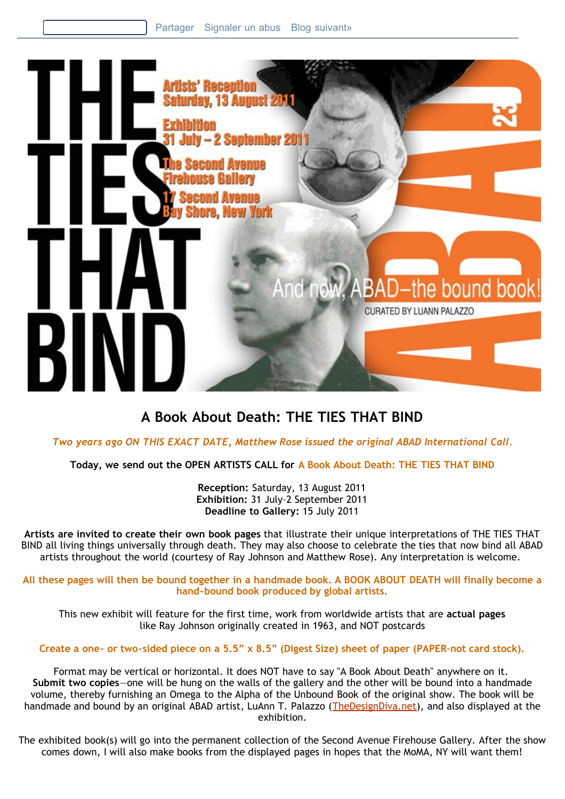

# **A Book About Death: THE TIES THAT BIND**

*Two years ago ON THIS EXACT DATE, Matthew Rose issued the original ABAD International Call.*

**Today, we send out the OPEN ARTISTS CALL for A Book About Death: THE TIES THAT BIND**

**Reception:** Saturday, 13 August 2011 **Exhibition:** 31 July–2 September 2011 **Deadline to Gallery:** 15 July 2011

**Artists are invited to create their own book pages** that illustrate their unique interpretations of THE TIES THAT BIND all living things universally through death. They may also choose to celebrate the ties that now bind all ABAD artists throughout the world (courtesy of Ray Johnson and Matthew Rose). Any interpretation is welcome.

**All these pages will then be bound together in a handmade book. A BOOK ABOUT DEATH will finally become a hand-bound book produced by global artists.**

This new exhibit will feature for the first time, work from worldwide artists that are **actual pages** like Ray Johnson originally created in 1963, and NOT postcards

**Create a one- or two-sided piece on a 5.5" x 8.5" (Digest Size) sheet of paper (PAPER–not card stock).**

Format may be vertical or horizontal. It does NOT have to say "A Book About Death" anywhere on it. **Submit two copies**—one will be hung on the walls of the gallery and the other will be bound into a handmade volume, thereby furnishing an Omega to the Alpha of the Unbound Book of the original show. The book will be handmade and bound by an original ABAD artist, LuAnn T. Palazzo ([TheDesignDiva.net\)](http://thedesigndiva.net/), and also displayed at the exhibition.

The exhibited book(s) will go into the permanent collection of the Second Avenue Firehouse Gallery. After the show comes down, I will also make books from the displayed pages in hopes that the MoMA, NY will want them!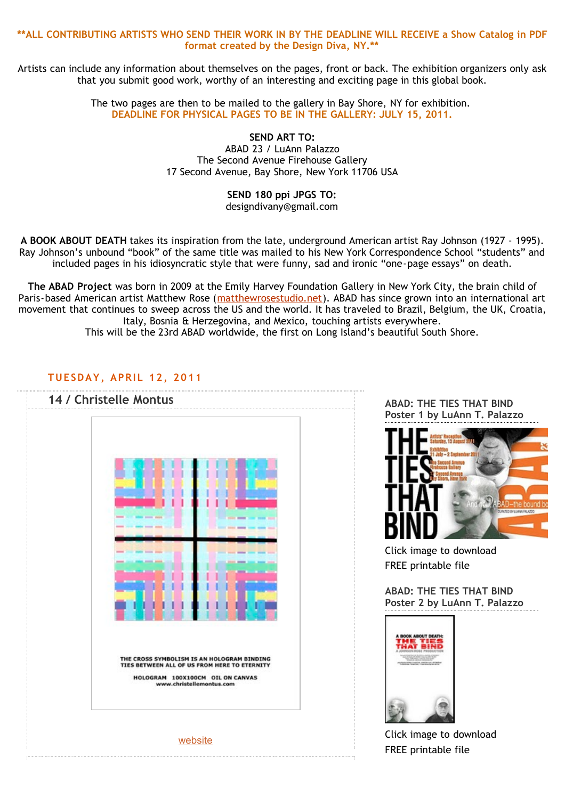#### **\*\*ALL CONTRIBUTING ARTISTS WHO SEND THEIR WORK IN BY THE DEADLINE WILL RECEIVE a Show Catalog in PDF format created by the Design Diva, NY.\*\***

Artists can include any information about themselves on the pages, front or back. The exhibition organizers only ask that you submit good work, worthy of an interesting and exciting page in this global book.

> The two pages are then to be mailed to the gallery in Bay Shore, NY for exhibition. **DEADLINE FOR PHYSICAL PAGES TO BE IN THE GALLERY: JULY 15, 2011.**

> > **SEND ART TO:** ABAD 23 / LuAnn Palazzo The Second Avenue Firehouse Gallery 17 Second Avenue, Bay Shore, New York 11706 USA

#### **SEND 180 ppi JPGS TO:** designdivany@gmail.com

**A BOOK ABOUT DEATH** takes its inspiration from the late, underground American artist Ray Johnson (1927 - 1995). Ray Johnson's unbound "book" of the same title was mailed to his New York Correspondence School "students" and included pages in his idiosyncratic style that were funny, sad and ironic "one-page essays" on death.

**The ABAD Project** was born in 2009 at the Emily Harvey Foundation Gallery in New York City, the brain child of Paris-based American artist Matthew Rose ([matthewrosestudio.net\)](http://matthewrosestudio.net/). ABAD has since grown into an international art movement that continues to sweep across the US and the world. It has traveled to Brazil, Belgium, the UK, Croatia, Italy, Bosnia & Herzegovina, and Mexico, touching artists everywhere.

This will be the 23rd ABAD worldwide, the first on Long Island's beautiful South Shore.

## **TUESDAY, APRIL 12, 2011**



**ABAD: THE TIES THAT BIND Poster 1 by LuAnn T. Palazzo**



Click image to download FREE printable file

**ABAD: THE TIES THAT BIND Poster 2 by LuAnn T. Palazzo**



Click image to download FREE printable file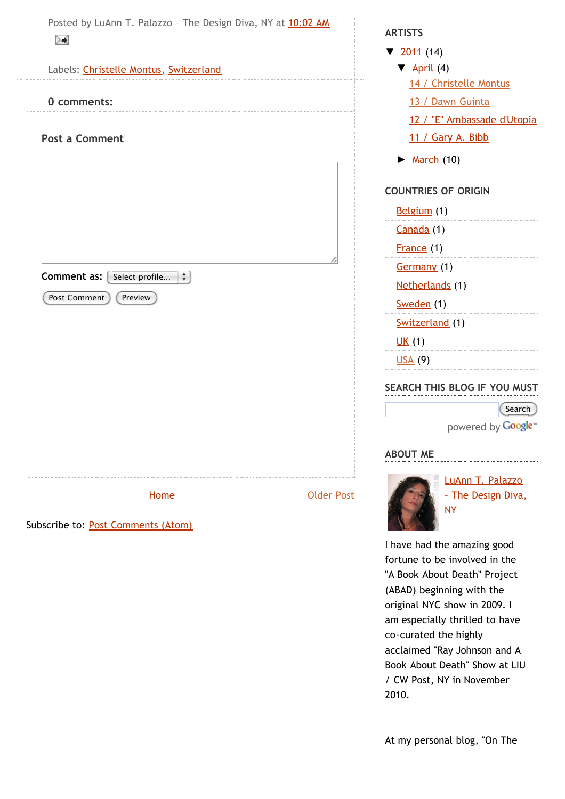**[Home](http://abad-23.blogspot.com/)** 

Subscribe to: [Post Comments \(Atom\)](http://abad-23.blogspot.com/feeds/453273975222107826/comments/default)

[Older Post](http://abad-23.blogspot.com/2011/04/13-dawn-guinta.html)

[▼](javascript:void(0)) [2011](http://abad-23.blogspot.com/search?updated-min=2011-01-01T00%3A00%3A00-05%3A00&updated-max=2012-01-01T00%3A00%3A00-05%3A00&max-results=14) (14)  $\nabla$  [April](http://abad-23.blogspot.com/2011_04_01_archive.html) (4)

**ARTISTS**

[14 / Christelle Montus](http://abad-23.blogspot.com/2011/04/14-christelle-montus.html)

[13 / Dawn Guinta](http://abad-23.blogspot.com/2011/04/13-dawn-guinta.html)

[12 / "E" Ambassade d'Utopia](http://abad-23.blogspot.com/2011/04/12-e-ambassade-dutopia.html)

[11 / Gary A. Bibb](http://abad-23.blogspot.com/2011/04/11-gary-bibb.html)

 $\blacktriangleright$  [March](http://abad-23.blogspot.com/2011_03_01_archive.html) (10)

### **COUNTRIES OF ORIGIN**

| <u>Belgium</u> (1) |  |
|--------------------|--|
| Canada (1)         |  |
| France (1)         |  |
| <b>Germany</b> (1) |  |
| Netherlands (1)    |  |
| Sweden (1)         |  |
| Switzerland (1)    |  |
| <u>UK</u> (1)      |  |
| <u>USA</u> (9)     |  |

## **SEARCH THIS BLOG IF YOU MUST**

Search powered by **Google**<sup>®</sup>

**ABOUT ME**



LuAnn T. Palazzo The Design Diva, NY

I have had the amazing good fortune to be involved in the "A Book About Death" Project (ABAD) beginning with the original NYC show in 2009. I am especially thrilled to have co-curated the highly acclaimed "Ray Johnson and A Book About Death" Show at LIU / CW Post, NY in November 2010.